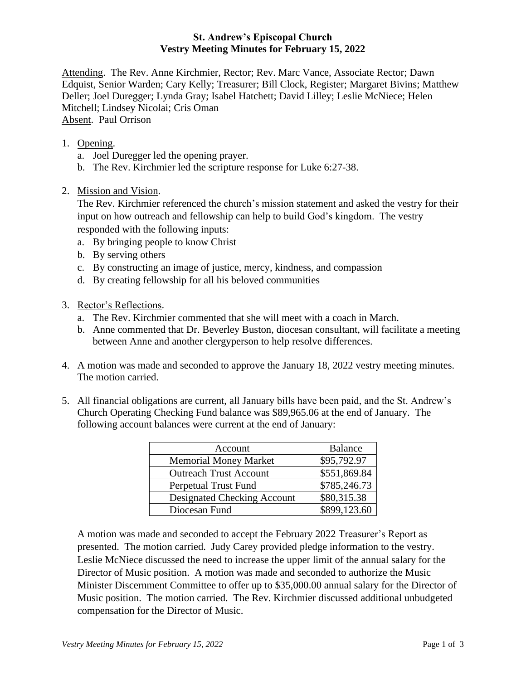## **St. Andrew's Episcopal Church Vestry Meeting Minutes for February 15, 2022**

Attending. The Rev. Anne Kirchmier, Rector; Rev. Marc Vance, Associate Rector; Dawn Edquist, Senior Warden; Cary Kelly; Treasurer; Bill Clock, Register; Margaret Bivins; Matthew Deller; Joel Duregger; Lynda Gray; Isabel Hatchett; David Lilley; Leslie McNiece; Helen Mitchell; Lindsey Nicolai; Cris Oman Absent. Paul Orrison

- 1. Opening.
	- a. Joel Duregger led the opening prayer.
	- b. The Rev. Kirchmier led the scripture response for Luke 6:27-38.
- 2. Mission and Vision.

The Rev. Kirchmier referenced the church's mission statement and asked the vestry for their input on how outreach and fellowship can help to build God's kingdom. The vestry responded with the following inputs:

- a. By bringing people to know Christ
- b. By serving others
- c. By constructing an image of justice, mercy, kindness, and compassion
- d. By creating fellowship for all his beloved communities
- 3. Rector's Reflections.
	- a. The Rev. Kirchmier commented that she will meet with a coach in March.
	- b. Anne commented that Dr. Beverley Buston, diocesan consultant, will facilitate a meeting between Anne and another clergyperson to help resolve differences.
- 4. A motion was made and seconded to approve the January 18, 2022 vestry meeting minutes. The motion carried.
- 5. All financial obligations are current, all January bills have been paid, and the St. Andrew's Church Operating Checking Fund balance was \$89,965.06 at the end of January. The following account balances were current at the end of January:

| Account                       | <b>Balance</b> |
|-------------------------------|----------------|
| <b>Memorial Money Market</b>  | \$95,792.97    |
| <b>Outreach Trust Account</b> | \$551,869.84   |
| Perpetual Trust Fund          | \$785,246.73   |
| Designated Checking Account   | \$80,315.38    |
| Diocesan Fund                 | \$899,123.60   |

A motion was made and seconded to accept the February 2022 Treasurer's Report as presented. The motion carried. Judy Carey provided pledge information to the vestry. Leslie McNiece discussed the need to increase the upper limit of the annual salary for the Director of Music position. A motion was made and seconded to authorize the Music Minister Discernment Committee to offer up to \$35,000.00 annual salary for the Director of Music position. The motion carried. The Rev. Kirchmier discussed additional unbudgeted compensation for the Director of Music.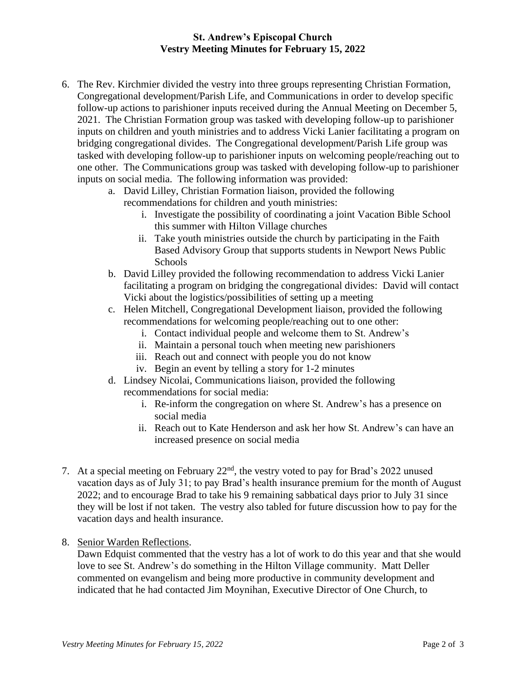## **St. Andrew's Episcopal Church Vestry Meeting Minutes for February 15, 2022**

- 6. The Rev. Kirchmier divided the vestry into three groups representing Christian Formation, Congregational development/Parish Life, and Communications in order to develop specific follow-up actions to parishioner inputs received during the Annual Meeting on December 5, 2021. The Christian Formation group was tasked with developing follow-up to parishioner inputs on children and youth ministries and to address Vicki Lanier facilitating a program on bridging congregational divides. The Congregational development/Parish Life group was tasked with developing follow-up to parishioner inputs on welcoming people/reaching out to one other. The Communications group was tasked with developing follow-up to parishioner inputs on social media. The following information was provided:
	- a. David Lilley, Christian Formation liaison, provided the following recommendations for children and youth ministries:
		- i. Investigate the possibility of coordinating a joint Vacation Bible School this summer with Hilton Village churches
		- ii. Take youth ministries outside the church by participating in the Faith Based Advisory Group that supports students in Newport News Public Schools
	- b. David Lilley provided the following recommendation to address Vicki Lanier facilitating a program on bridging the congregational divides: David will contact Vicki about the logistics/possibilities of setting up a meeting
	- c. Helen Mitchell, Congregational Development liaison, provided the following recommendations for welcoming people/reaching out to one other:
		- i. Contact individual people and welcome them to St. Andrew's
		- ii. Maintain a personal touch when meeting new parishioners
		- iii. Reach out and connect with people you do not know
		- iv. Begin an event by telling a story for 1-2 minutes
	- d. Lindsey Nicolai, Communications liaison, provided the following recommendations for social media:
		- i. Re-inform the congregation on where St. Andrew's has a presence on social media
		- ii. Reach out to Kate Henderson and ask her how St. Andrew's can have an increased presence on social media
- 7. At a special meeting on February 22nd, the vestry voted to pay for Brad's 2022 unused vacation days as of July 31; to pay Brad's health insurance premium for the month of August 2022; and to encourage Brad to take his 9 remaining sabbatical days prior to July 31 since they will be lost if not taken. The vestry also tabled for future discussion how to pay for the vacation days and health insurance.
- 8. Senior Warden Reflections.

Dawn Edquist commented that the vestry has a lot of work to do this year and that she would love to see St. Andrew's do something in the Hilton Village community. Matt Deller commented on evangelism and being more productive in community development and indicated that he had contacted Jim Moynihan, Executive Director of One Church, to